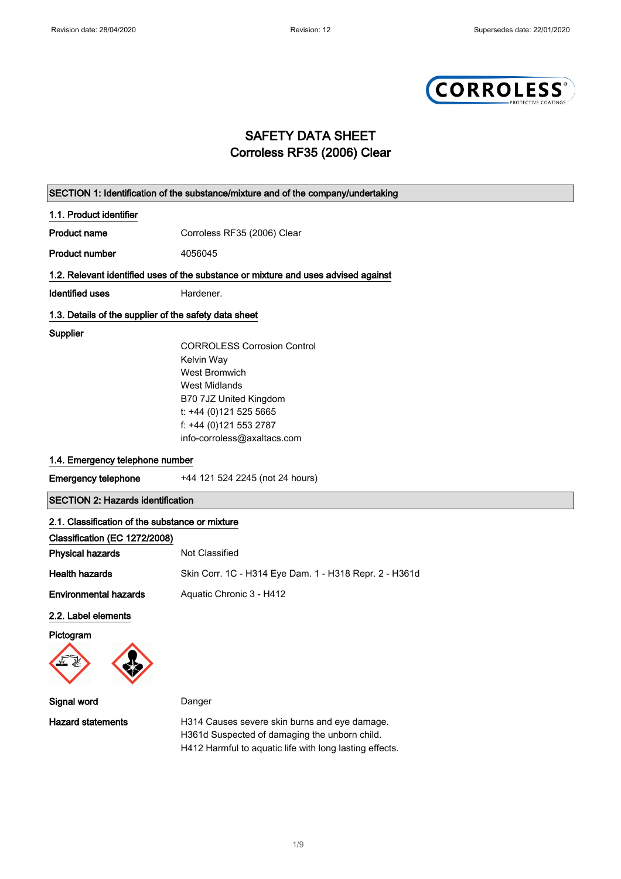

## SAFETY DATA SHEET Corroless RF35 (2006) Clear

| SECTION 1: Identification of the substance/mixture and of the company/undertaking |                                                                                                                                                                                                               |  |
|-----------------------------------------------------------------------------------|---------------------------------------------------------------------------------------------------------------------------------------------------------------------------------------------------------------|--|
| 1.1. Product identifier                                                           |                                                                                                                                                                                                               |  |
| <b>Product name</b>                                                               | Corroless RF35 (2006) Clear                                                                                                                                                                                   |  |
| <b>Product number</b>                                                             | 4056045                                                                                                                                                                                                       |  |
|                                                                                   | 1.2. Relevant identified uses of the substance or mixture and uses advised against                                                                                                                            |  |
| <b>Identified uses</b>                                                            | Hardener.                                                                                                                                                                                                     |  |
| 1.3. Details of the supplier of the safety data sheet                             |                                                                                                                                                                                                               |  |
| Supplier                                                                          | <b>CORROLESS Corrosion Control</b><br>Kelvin Way<br><b>West Bromwich</b><br><b>West Midlands</b><br>B70 7JZ United Kingdom<br>t: +44 (0)121 525 5665<br>f: +44 (0)121 553 2787<br>info-corroless@axaltacs.com |  |
| 1.4. Emergency telephone number                                                   |                                                                                                                                                                                                               |  |
| <b>Emergency telephone</b>                                                        | +44 121 524 2245 (not 24 hours)                                                                                                                                                                               |  |
| <b>SECTION 2: Hazards identification</b>                                          |                                                                                                                                                                                                               |  |
| 2.1. Classification of the substance or mixture                                   |                                                                                                                                                                                                               |  |
| Classification (EC 1272/2008)                                                     |                                                                                                                                                                                                               |  |
| <b>Physical hazards</b>                                                           | Not Classified                                                                                                                                                                                                |  |
| <b>Health hazards</b>                                                             | Skin Corr. 1C - H314 Eye Dam. 1 - H318 Repr. 2 - H361d                                                                                                                                                        |  |
| <b>Environmental hazards</b>                                                      | Aquatic Chronic 3 - H412                                                                                                                                                                                      |  |
| 2.2. Label elements<br>Pictogram<br>A                                             |                                                                                                                                                                                                               |  |
| Signal word                                                                       | Danger                                                                                                                                                                                                        |  |
| <b>Hazard statements</b>                                                          | H314 Causes severe skin burns and eye damage.<br>H361d Suspected of damaging the unborn child.<br>H412 Harmful to aquatic life with long lasting effects.                                                     |  |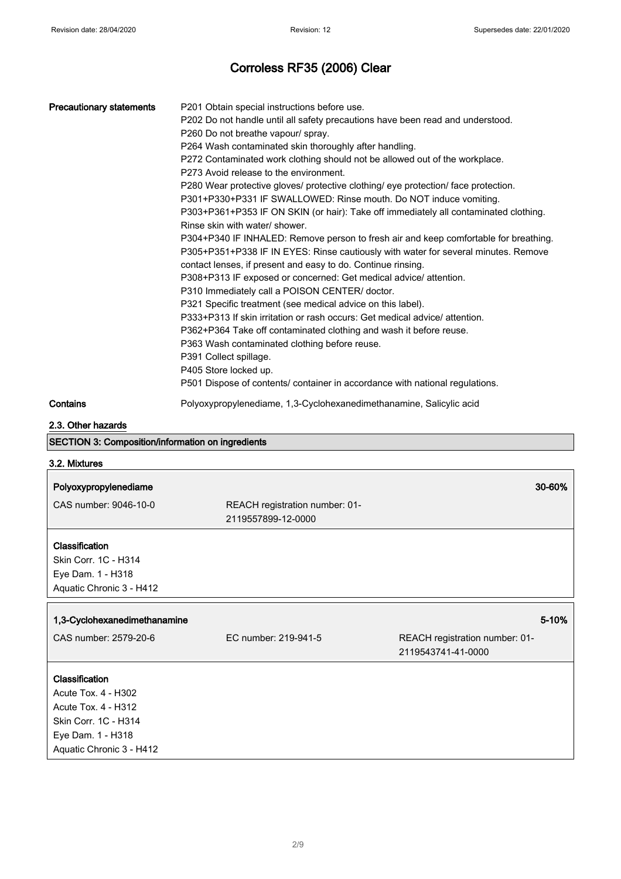| <b>Precautionary statements</b>                                                                                                       | P201 Obtain special instructions before use.<br>P202 Do not handle until all safety precautions have been read and understood.<br>P260 Do not breathe vapour/ spray.<br>P264 Wash contaminated skin thoroughly after handling.<br>P272 Contaminated work clothing should not be allowed out of the workplace.<br>P273 Avoid release to the environment.<br>P280 Wear protective gloves/ protective clothing/ eye protection/ face protection.<br>P301+P330+P331 IF SWALLOWED: Rinse mouth. Do NOT induce vomiting.<br>Rinse skin with water/ shower.<br>contact lenses, if present and easy to do. Continue rinsing.<br>P308+P313 IF exposed or concerned: Get medical advice/ attention.<br>P310 Immediately call a POISON CENTER/ doctor.<br>P321 Specific treatment (see medical advice on this label).<br>P333+P313 If skin irritation or rash occurs: Get medical advice/ attention.<br>P362+P364 Take off contaminated clothing and wash it before reuse.<br>P363 Wash contaminated clothing before reuse.<br>P391 Collect spillage.<br>P405 Store locked up.<br>P501 Dispose of contents/ container in accordance with national regulations. | P303+P361+P353 IF ON SKIN (or hair): Take off immediately all contaminated clothing.<br>P304+P340 IF INHALED: Remove person to fresh air and keep comfortable for breathing.<br>P305+P351+P338 IF IN EYES: Rinse cautiously with water for several minutes. Remove |
|---------------------------------------------------------------------------------------------------------------------------------------|-----------------------------------------------------------------------------------------------------------------------------------------------------------------------------------------------------------------------------------------------------------------------------------------------------------------------------------------------------------------------------------------------------------------------------------------------------------------------------------------------------------------------------------------------------------------------------------------------------------------------------------------------------------------------------------------------------------------------------------------------------------------------------------------------------------------------------------------------------------------------------------------------------------------------------------------------------------------------------------------------------------------------------------------------------------------------------------------------------------------------------------------------------|--------------------------------------------------------------------------------------------------------------------------------------------------------------------------------------------------------------------------------------------------------------------|
| Contains                                                                                                                              | Polyoxypropylenediame, 1,3-Cyclohexanedimethanamine, Salicylic acid                                                                                                                                                                                                                                                                                                                                                                                                                                                                                                                                                                                                                                                                                                                                                                                                                                                                                                                                                                                                                                                                                 |                                                                                                                                                                                                                                                                    |
| 2.3. Other hazards                                                                                                                    |                                                                                                                                                                                                                                                                                                                                                                                                                                                                                                                                                                                                                                                                                                                                                                                                                                                                                                                                                                                                                                                                                                                                                     |                                                                                                                                                                                                                                                                    |
| <b>SECTION 3: Composition/information on ingredients</b>                                                                              |                                                                                                                                                                                                                                                                                                                                                                                                                                                                                                                                                                                                                                                                                                                                                                                                                                                                                                                                                                                                                                                                                                                                                     |                                                                                                                                                                                                                                                                    |
| 3.2. Mixtures                                                                                                                         |                                                                                                                                                                                                                                                                                                                                                                                                                                                                                                                                                                                                                                                                                                                                                                                                                                                                                                                                                                                                                                                                                                                                                     |                                                                                                                                                                                                                                                                    |
| Polyoxypropylenediame                                                                                                                 |                                                                                                                                                                                                                                                                                                                                                                                                                                                                                                                                                                                                                                                                                                                                                                                                                                                                                                                                                                                                                                                                                                                                                     | 30-60%                                                                                                                                                                                                                                                             |
| CAS number: 9046-10-0                                                                                                                 | REACH registration number: 01-                                                                                                                                                                                                                                                                                                                                                                                                                                                                                                                                                                                                                                                                                                                                                                                                                                                                                                                                                                                                                                                                                                                      |                                                                                                                                                                                                                                                                    |
|                                                                                                                                       | 2119557899-12-0000                                                                                                                                                                                                                                                                                                                                                                                                                                                                                                                                                                                                                                                                                                                                                                                                                                                                                                                                                                                                                                                                                                                                  |                                                                                                                                                                                                                                                                    |
| Classification<br>Skin Corr. 1C - H314<br>Eye Dam. 1 - H318<br>Aquatic Chronic 3 - H412                                               |                                                                                                                                                                                                                                                                                                                                                                                                                                                                                                                                                                                                                                                                                                                                                                                                                                                                                                                                                                                                                                                                                                                                                     |                                                                                                                                                                                                                                                                    |
|                                                                                                                                       |                                                                                                                                                                                                                                                                                                                                                                                                                                                                                                                                                                                                                                                                                                                                                                                                                                                                                                                                                                                                                                                                                                                                                     |                                                                                                                                                                                                                                                                    |
| 1,3-Cyclohexanedimethanamine                                                                                                          |                                                                                                                                                                                                                                                                                                                                                                                                                                                                                                                                                                                                                                                                                                                                                                                                                                                                                                                                                                                                                                                                                                                                                     | 5-10%                                                                                                                                                                                                                                                              |
| CAS number: 2579-20-6                                                                                                                 | EC number: 219-941-5                                                                                                                                                                                                                                                                                                                                                                                                                                                                                                                                                                                                                                                                                                                                                                                                                                                                                                                                                                                                                                                                                                                                | REACH registration number: 01-<br>2119543741-41-0000                                                                                                                                                                                                               |
| Classification<br>Acute Tox. 4 - H302<br>Acute Tox. 4 - H312<br>Skin Corr. 1C - H314<br>Eye Dam. 1 - H318<br>Aquatic Chronic 3 - H412 |                                                                                                                                                                                                                                                                                                                                                                                                                                                                                                                                                                                                                                                                                                                                                                                                                                                                                                                                                                                                                                                                                                                                                     |                                                                                                                                                                                                                                                                    |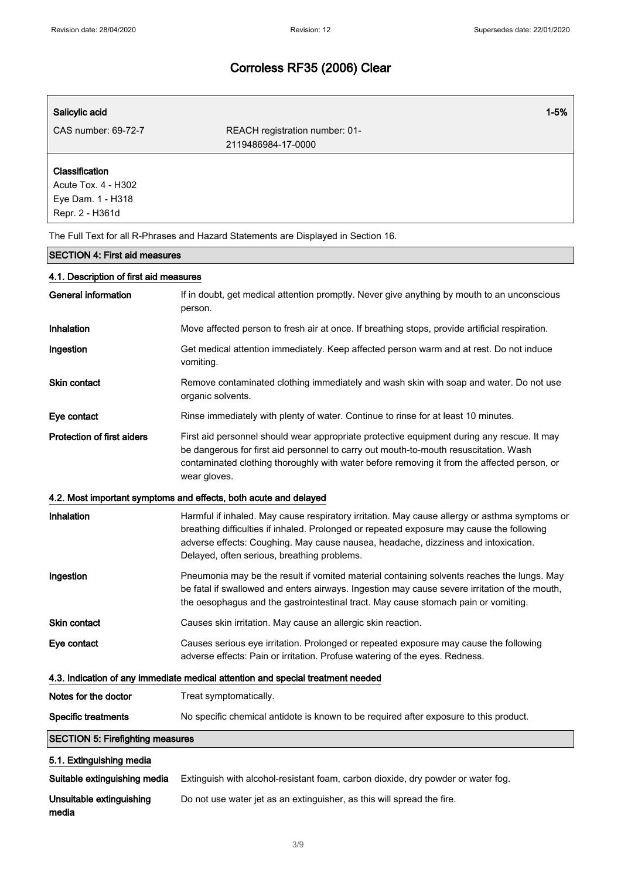| Salicylic acid                                                                | $1 - 5%$                                                                                                                                                                                                                                                                                                                        |
|-------------------------------------------------------------------------------|---------------------------------------------------------------------------------------------------------------------------------------------------------------------------------------------------------------------------------------------------------------------------------------------------------------------------------|
| CAS number: 69-72-7                                                           | REACH registration number: 01-                                                                                                                                                                                                                                                                                                  |
|                                                                               | 2119486984-17-0000                                                                                                                                                                                                                                                                                                              |
| Classification<br>Acute Tox. 4 - H302<br>Eye Dam. 1 - H318<br>Repr. 2 - H361d |                                                                                                                                                                                                                                                                                                                                 |
|                                                                               | The Full Text for all R-Phrases and Hazard Statements are Displayed in Section 16.                                                                                                                                                                                                                                              |
| <b>SECTION 4: First aid measures</b>                                          |                                                                                                                                                                                                                                                                                                                                 |
| 4.1. Description of first aid measures                                        |                                                                                                                                                                                                                                                                                                                                 |
| <b>General information</b>                                                    | If in doubt, get medical attention promptly. Never give anything by mouth to an unconscious<br>person.                                                                                                                                                                                                                          |
| <b>Inhalation</b>                                                             | Move affected person to fresh air at once. If breathing stops, provide artificial respiration.                                                                                                                                                                                                                                  |
| Ingestion                                                                     | Get medical attention immediately. Keep affected person warm and at rest. Do not induce<br>vomiting.                                                                                                                                                                                                                            |
| <b>Skin contact</b>                                                           | Remove contaminated clothing immediately and wash skin with soap and water. Do not use<br>organic solvents.                                                                                                                                                                                                                     |
| Eye contact                                                                   | Rinse immediately with plenty of water. Continue to rinse for at least 10 minutes.                                                                                                                                                                                                                                              |
| <b>Protection of first aiders</b>                                             | First aid personnel should wear appropriate protective equipment during any rescue. It may<br>be dangerous for first aid personnel to carry out mouth-to-mouth resuscitation. Wash<br>contaminated clothing thoroughly with water before removing it from the affected person, or<br>wear gloves.                               |
|                                                                               | 4.2. Most important symptoms and effects, both acute and delayed                                                                                                                                                                                                                                                                |
| Inhalation                                                                    | Harmful if inhaled. May cause respiratory irritation. May cause allergy or asthma symptoms or<br>breathing difficulties if inhaled. Prolonged or repeated exposure may cause the following<br>adverse effects: Coughing. May cause nausea, headache, dizziness and intoxication.<br>Delayed, often serious, breathing problems. |
| Ingestion                                                                     | Pneumonia may be the result if vomited material containing solvents reaches the lungs. May<br>be fatal if swallowed and enters airways. Ingestion may cause severe irritation of the mouth,<br>the oesophagus and the gastrointestinal tract. May cause stomach pain or vomiting.                                               |
| Skin contact                                                                  | Causes skin irritation. May cause an allergic skin reaction.                                                                                                                                                                                                                                                                    |
| Eye contact                                                                   | Causes serious eye irritation. Prolonged or repeated exposure may cause the following<br>adverse effects: Pain or irritation. Profuse watering of the eyes. Redness.                                                                                                                                                            |
|                                                                               | 4.3. Indication of any immediate medical attention and special treatment needed                                                                                                                                                                                                                                                 |
| Notes for the doctor                                                          | Treat symptomatically.                                                                                                                                                                                                                                                                                                          |
| <b>Specific treatments</b>                                                    | No specific chemical antidote is known to be required after exposure to this product.                                                                                                                                                                                                                                           |
| <b>SECTION 5: Firefighting measures</b>                                       |                                                                                                                                                                                                                                                                                                                                 |
| 5.1. Extinguishing media                                                      |                                                                                                                                                                                                                                                                                                                                 |
| Suitable extinguishing media                                                  | Extinguish with alcohol-resistant foam, carbon dioxide, dry powder or water fog.                                                                                                                                                                                                                                                |
| Unsuitable extinguishing<br>media                                             | Do not use water jet as an extinguisher, as this will spread the fire.                                                                                                                                                                                                                                                          |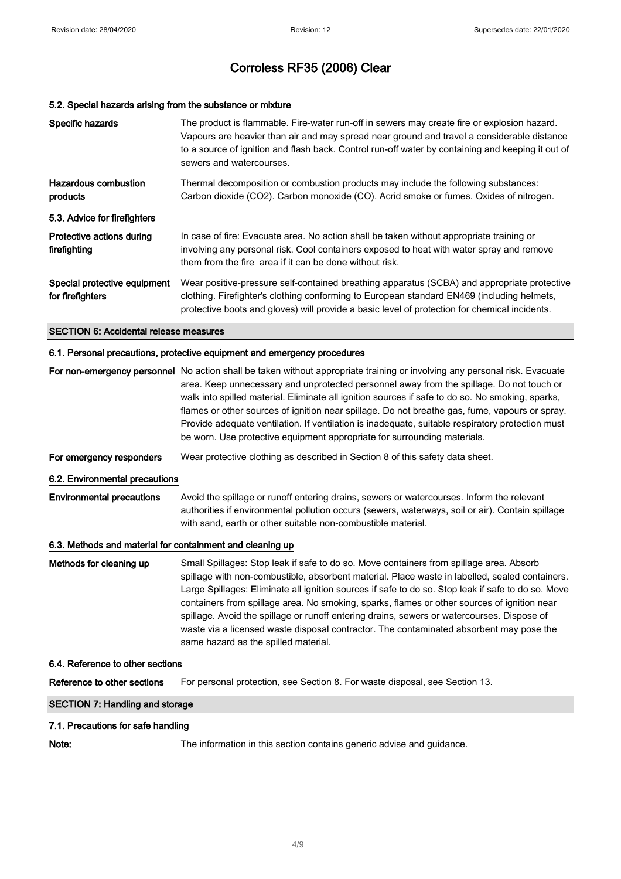## 5.2. Special hazards arising from the substance or mixture

| Specific hazards                                 | The product is flammable. Fire-water run-off in sewers may create fire or explosion hazard.<br>Vapours are heavier than air and may spread near ground and travel a considerable distance<br>to a source of ignition and flash back. Control run-off water by containing and keeping it out of<br>sewers and watercourses. |
|--------------------------------------------------|----------------------------------------------------------------------------------------------------------------------------------------------------------------------------------------------------------------------------------------------------------------------------------------------------------------------------|
| Hazardous combustion<br>products                 | Thermal decomposition or combustion products may include the following substances:<br>Carbon dioxide (CO2). Carbon monoxide (CO). Acrid smoke or fumes. Oxides of nitrogen.                                                                                                                                                |
| 5.3. Advice for firefighters                     |                                                                                                                                                                                                                                                                                                                            |
| Protective actions during<br>firefighting        | In case of fire: Evacuate area. No action shall be taken without appropriate training or<br>involving any personal risk. Cool containers exposed to heat with water spray and remove<br>them from the fire area if it can be done without risk.                                                                            |
| Special protective equipment<br>for firefighters | Wear positive-pressure self-contained breathing apparatus (SCBA) and appropriate protective<br>clothing. Firefighter's clothing conforming to European standard EN469 (including helmets,<br>protective boots and gloves) will provide a basic level of protection for chemical incidents.                                 |
| <b>SECTION 6: Accidental release measures</b>    |                                                                                                                                                                                                                                                                                                                            |

### 6.1. Personal precautions, protective equipment and emergency procedures

|                                                           | For non-emergency personnel No action shall be taken without appropriate training or involving any personal risk. Evacuate<br>area. Keep unnecessary and unprotected personnel away from the spillage. Do not touch or<br>walk into spilled material. Eliminate all ignition sources if safe to do so. No smoking, sparks,<br>flames or other sources of ignition near spillage. Do not breathe gas, fume, vapours or spray.<br>Provide adequate ventilation. If ventilation is inadequate, suitable respiratory protection must<br>be worn. Use protective equipment appropriate for surrounding materials.                    |  |
|-----------------------------------------------------------|---------------------------------------------------------------------------------------------------------------------------------------------------------------------------------------------------------------------------------------------------------------------------------------------------------------------------------------------------------------------------------------------------------------------------------------------------------------------------------------------------------------------------------------------------------------------------------------------------------------------------------|--|
| For emergency responders                                  | Wear protective clothing as described in Section 8 of this safety data sheet.                                                                                                                                                                                                                                                                                                                                                                                                                                                                                                                                                   |  |
| 6.2. Environmental precautions                            |                                                                                                                                                                                                                                                                                                                                                                                                                                                                                                                                                                                                                                 |  |
| <b>Environmental precautions</b>                          | Avoid the spillage or runoff entering drains, sewers or watercourses. Inform the relevant<br>authorities if environmental pollution occurs (sewers, waterways, soil or air). Contain spillage<br>with sand, earth or other suitable non-combustible material.                                                                                                                                                                                                                                                                                                                                                                   |  |
| 6.3. Methods and material for containment and cleaning up |                                                                                                                                                                                                                                                                                                                                                                                                                                                                                                                                                                                                                                 |  |
| Methods for cleaning up                                   | Small Spillages: Stop leak if safe to do so. Move containers from spillage area. Absorb<br>spillage with non-combustible, absorbent material. Place waste in labelled, sealed containers.<br>Large Spillages: Eliminate all ignition sources if safe to do so. Stop leak if safe to do so. Move<br>containers from spillage area. No smoking, sparks, flames or other sources of ignition near<br>spillage. Avoid the spillage or runoff entering drains, sewers or watercourses. Dispose of<br>waste via a licensed waste disposal contractor. The contaminated absorbent may pose the<br>same hazard as the spilled material. |  |
| 6.4. Reference to other sections                          |                                                                                                                                                                                                                                                                                                                                                                                                                                                                                                                                                                                                                                 |  |
| Reference to other sections                               | For personal protection, see Section 8. For waste disposal, see Section 13.                                                                                                                                                                                                                                                                                                                                                                                                                                                                                                                                                     |  |

## SECTION 7: Handling and storage

## 7.1. Precautions for safe handling

Note: The information in this section contains generic advise and guidance.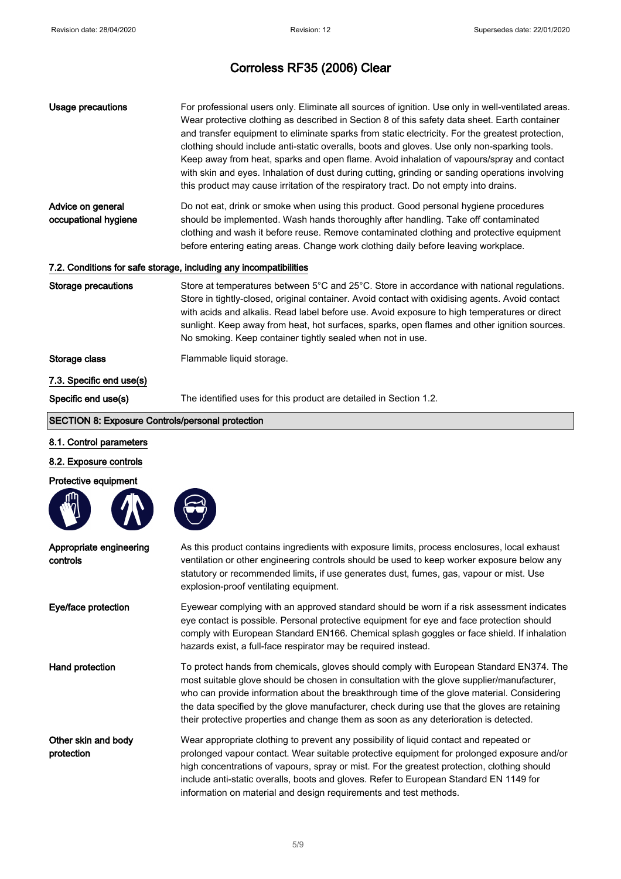| Usage precautions                                                 | For professional users only. Eliminate all sources of ignition. Use only in well-ventilated areas.<br>Wear protective clothing as described in Section 8 of this safety data sheet. Earth container<br>and transfer equipment to eliminate sparks from static electricity. For the greatest protection,<br>clothing should include anti-static overalls, boots and gloves. Use only non-sparking tools.<br>Keep away from heat, sparks and open flame. Avoid inhalation of vapours/spray and contact<br>with skin and eyes. Inhalation of dust during cutting, grinding or sanding operations involving<br>this product may cause irritation of the respiratory tract. Do not empty into drains. |  |  |
|-------------------------------------------------------------------|--------------------------------------------------------------------------------------------------------------------------------------------------------------------------------------------------------------------------------------------------------------------------------------------------------------------------------------------------------------------------------------------------------------------------------------------------------------------------------------------------------------------------------------------------------------------------------------------------------------------------------------------------------------------------------------------------|--|--|
| Advice on general<br>occupational hygiene                         | Do not eat, drink or smoke when using this product. Good personal hygiene procedures<br>should be implemented. Wash hands thoroughly after handling. Take off contaminated<br>clothing and wash it before reuse. Remove contaminated clothing and protective equipment<br>before entering eating areas. Change work clothing daily before leaving workplace.                                                                                                                                                                                                                                                                                                                                     |  |  |
| 7.2. Conditions for safe storage, including any incompatibilities |                                                                                                                                                                                                                                                                                                                                                                                                                                                                                                                                                                                                                                                                                                  |  |  |
| <b>Storage precautions</b>                                        | Store at temperatures between 5°C and 25°C. Store in accordance with national regulations.<br>Store in tightly-closed, original container. Avoid contact with oxidising agents. Avoid contact<br>with acids and alkalis. Read label before use. Avoid exposure to high temperatures or direct<br>sunlight. Keep away from heat, hot surfaces, sparks, open flames and other ignition sources.<br>No smoking. Keep container tightly sealed when not in use.                                                                                                                                                                                                                                      |  |  |
| Storage class                                                     | Flammable liquid storage.                                                                                                                                                                                                                                                                                                                                                                                                                                                                                                                                                                                                                                                                        |  |  |
| 7.3. Specific end use(s)                                          |                                                                                                                                                                                                                                                                                                                                                                                                                                                                                                                                                                                                                                                                                                  |  |  |
| Specific end use(s)                                               | The identified uses for this product are detailed in Section 1.2.                                                                                                                                                                                                                                                                                                                                                                                                                                                                                                                                                                                                                                |  |  |
| <b>SECTION 8: Exposure Controls/personal protection</b>           |                                                                                                                                                                                                                                                                                                                                                                                                                                                                                                                                                                                                                                                                                                  |  |  |
| 8.1. Control parameters                                           |                                                                                                                                                                                                                                                                                                                                                                                                                                                                                                                                                                                                                                                                                                  |  |  |

### 8.2. Exposure controls







| Appropriate engineering<br>controls | As this product contains ingredients with exposure limits, process enclosures, local exhaust<br>ventilation or other engineering controls should be used to keep worker exposure below any<br>statutory or recommended limits, if use generates dust, fumes, gas, vapour or mist. Use<br>explosion-proof ventilating equipment.                                                                                                                                              |
|-------------------------------------|------------------------------------------------------------------------------------------------------------------------------------------------------------------------------------------------------------------------------------------------------------------------------------------------------------------------------------------------------------------------------------------------------------------------------------------------------------------------------|
| Eye/face protection                 | Eyewear complying with an approved standard should be worn if a risk assessment indicates<br>eye contact is possible. Personal protective equipment for eye and face protection should<br>comply with European Standard EN166. Chemical splash goggles or face shield. If inhalation<br>hazards exist, a full-face respirator may be required instead.                                                                                                                       |
| Hand protection                     | To protect hands from chemicals, gloves should comply with European Standard EN374. The<br>most suitable glove should be chosen in consultation with the glove supplier/manufacturer,<br>who can provide information about the breakthrough time of the glove material. Considering<br>the data specified by the glove manufacturer, check during use that the gloves are retaining<br>their protective properties and change them as soon as any deterioration is detected. |
| Other skin and body<br>protection   | Wear appropriate clothing to prevent any possibility of liquid contact and repeated or<br>prolonged vapour contact. Wear suitable protective equipment for prolonged exposure and/or<br>high concentrations of vapours, spray or mist. For the greatest protection, clothing should<br>include anti-static overalls, boots and gloves. Refer to European Standard EN 1149 for<br>information on material and design requirements and test methods.                           |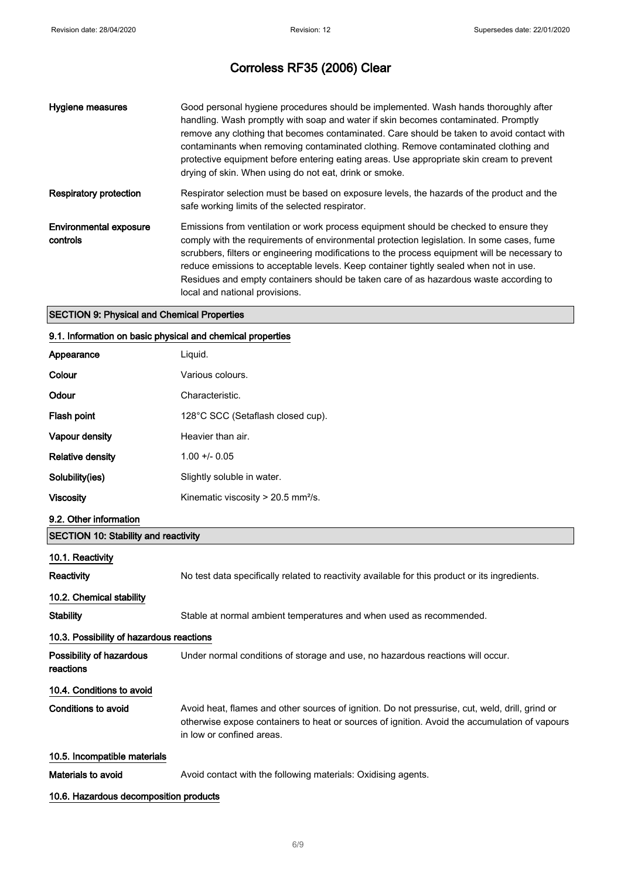| Hygiene measures                   | Good personal hygiene procedures should be implemented. Wash hands thoroughly after<br>handling. Wash promptly with soap and water if skin becomes contaminated. Promptly<br>remove any clothing that becomes contaminated. Care should be taken to avoid contact with<br>contaminants when removing contaminated clothing. Remove contaminated clothing and<br>protective equipment before entering eating areas. Use appropriate skin cream to prevent<br>drying of skin. When using do not eat, drink or smoke. |
|------------------------------------|--------------------------------------------------------------------------------------------------------------------------------------------------------------------------------------------------------------------------------------------------------------------------------------------------------------------------------------------------------------------------------------------------------------------------------------------------------------------------------------------------------------------|
| Respiratory protection             | Respirator selection must be based on exposure levels, the hazards of the product and the<br>safe working limits of the selected respirator.                                                                                                                                                                                                                                                                                                                                                                       |
| Environmental exposure<br>controls | Emissions from ventilation or work process equipment should be checked to ensure they<br>comply with the requirements of environmental protection legislation. In some cases, fume<br>scrubbers, filters or engineering modifications to the process equipment will be necessary to<br>reduce emissions to acceptable levels. Keep container tightly sealed when not in use.<br>Residues and empty containers should be taken care of as hazardous waste according to<br>local and national provisions.            |

### SECTION 9: Physical and Chemical Properties

### 9.1. Information on basic physical and chemical properties

| Appearance                                  | Liquid.                                                                                                                                                                                                                       |
|---------------------------------------------|-------------------------------------------------------------------------------------------------------------------------------------------------------------------------------------------------------------------------------|
| Colour                                      | Various colours.                                                                                                                                                                                                              |
| Odour                                       | Characteristic.                                                                                                                                                                                                               |
| Flash point                                 | 128°C SCC (Setaflash closed cup).                                                                                                                                                                                             |
| Vapour density                              | Heavier than air.                                                                                                                                                                                                             |
| <b>Relative density</b>                     | $1.00 + - 0.05$                                                                                                                                                                                                               |
| Solubility(ies)                             | Slightly soluble in water.                                                                                                                                                                                                    |
| <b>Viscosity</b>                            | Kinematic viscosity > 20.5 mm <sup>2</sup> /s.                                                                                                                                                                                |
| 9.2. Other information                      |                                                                                                                                                                                                                               |
| <b>SECTION 10: Stability and reactivity</b> |                                                                                                                                                                                                                               |
| 10.1. Reactivity                            |                                                                                                                                                                                                                               |
| Reactivity                                  | No test data specifically related to reactivity available for this product or its ingredients.                                                                                                                                |
| 10.2. Chemical stability                    |                                                                                                                                                                                                                               |
| <b>Stability</b>                            | Stable at normal ambient temperatures and when used as recommended.                                                                                                                                                           |
| 10.3. Possibility of hazardous reactions    |                                                                                                                                                                                                                               |
| Possibility of hazardous<br>reactions       | Under normal conditions of storage and use, no hazardous reactions will occur.                                                                                                                                                |
| 10.4. Conditions to avoid                   |                                                                                                                                                                                                                               |
| <b>Conditions to avoid</b>                  | Avoid heat, flames and other sources of ignition. Do not pressurise, cut, weld, drill, grind or<br>otherwise expose containers to heat or sources of ignition. Avoid the accumulation of vapours<br>in low or confined areas. |
| 10.5. Incompatible materials                |                                                                                                                                                                                                                               |
| Materials to avoid                          | Avoid contact with the following materials: Oxidising agents.                                                                                                                                                                 |

### 10.6. Hazardous decomposition products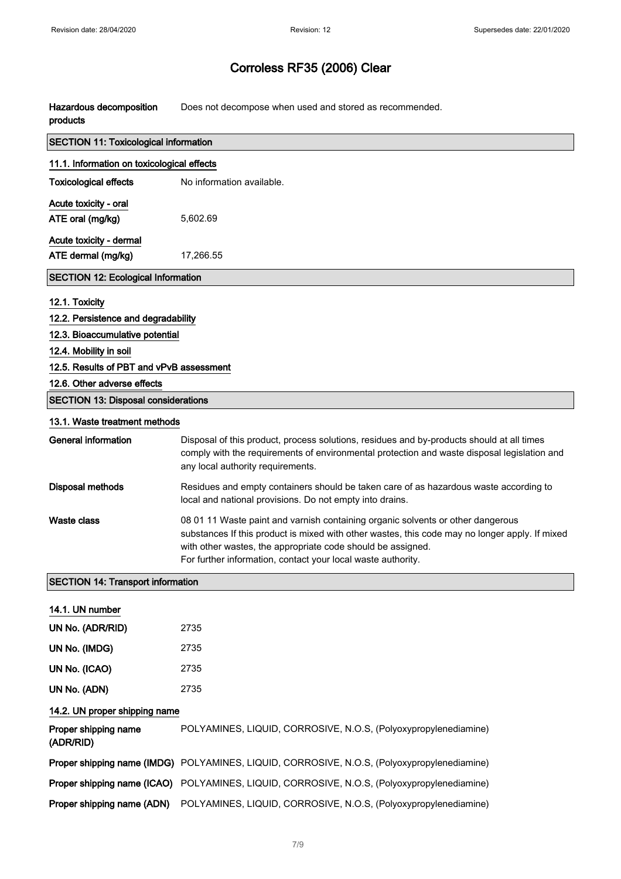Hazardous decomposition products Does not decompose when used and stored as recommended.

| <b>SECTION 11: Toxicological information</b> |                                                                                                                                                                                                                                                                                                                  |  |
|----------------------------------------------|------------------------------------------------------------------------------------------------------------------------------------------------------------------------------------------------------------------------------------------------------------------------------------------------------------------|--|
| 11.1. Information on toxicological effects   |                                                                                                                                                                                                                                                                                                                  |  |
| <b>Toxicological effects</b>                 | No information available.                                                                                                                                                                                                                                                                                        |  |
| Acute toxicity - oral                        |                                                                                                                                                                                                                                                                                                                  |  |
| ATE oral (mg/kg)                             | 5,602.69                                                                                                                                                                                                                                                                                                         |  |
| Acute toxicity - dermal                      |                                                                                                                                                                                                                                                                                                                  |  |
| ATE dermal (mg/kg)                           | 17,266.55                                                                                                                                                                                                                                                                                                        |  |
| <b>SECTION 12: Ecological Information</b>    |                                                                                                                                                                                                                                                                                                                  |  |
| 12.1. Toxicity                               |                                                                                                                                                                                                                                                                                                                  |  |
| 12.2. Persistence and degradability          |                                                                                                                                                                                                                                                                                                                  |  |
| 12.3. Bioaccumulative potential              |                                                                                                                                                                                                                                                                                                                  |  |
| 12.4. Mobility in soil                       |                                                                                                                                                                                                                                                                                                                  |  |
| 12.5. Results of PBT and vPvB assessment     |                                                                                                                                                                                                                                                                                                                  |  |
| 12.6. Other adverse effects                  |                                                                                                                                                                                                                                                                                                                  |  |
| <b>SECTION 13: Disposal considerations</b>   |                                                                                                                                                                                                                                                                                                                  |  |
| 13.1. Waste treatment methods                |                                                                                                                                                                                                                                                                                                                  |  |
| <b>General information</b>                   | Disposal of this product, process solutions, residues and by-products should at all times<br>comply with the requirements of environmental protection and waste disposal legislation and<br>any local authority requirements.                                                                                    |  |
| <b>Disposal methods</b>                      | Residues and empty containers should be taken care of as hazardous waste according to<br>local and national provisions. Do not empty into drains.                                                                                                                                                                |  |
| <b>Waste class</b>                           | 08 01 11 Waste paint and varnish containing organic solvents or other dangerous<br>substances If this product is mixed with other wastes, this code may no longer apply. If mixed<br>with other wastes, the appropriate code should be assigned.<br>For further information, contact your local waste authority. |  |
| <b>SECTION 14: Transport information</b>     |                                                                                                                                                                                                                                                                                                                  |  |
| 14.1. UN number                              |                                                                                                                                                                                                                                                                                                                  |  |
| UN No. (ADR/RID)                             | 2735                                                                                                                                                                                                                                                                                                             |  |
| UN No. (IMDG)                                | 2735                                                                                                                                                                                                                                                                                                             |  |
| UN No. (ICAO)                                | 2735                                                                                                                                                                                                                                                                                                             |  |
| UN No. (ADN)                                 | 2735                                                                                                                                                                                                                                                                                                             |  |
| 14.2. UN proper shipping name                |                                                                                                                                                                                                                                                                                                                  |  |
| Proper shipping name<br>(ADR/RID)            | POLYAMINES, LIQUID, CORROSIVE, N.O.S, (Polyoxypropylenediamine)                                                                                                                                                                                                                                                  |  |
|                                              | Proper shipping name (IMDG) POLYAMINES, LIQUID, CORROSIVE, N.O.S, (Polyoxypropylenediamine)                                                                                                                                                                                                                      |  |
|                                              | Proper shipping name (ICAO) POLYAMINES, LIQUID, CORROSIVE, N.O.S, (Polyoxypropylenediamine)                                                                                                                                                                                                                      |  |
| Proper shipping name (ADN)                   | POLYAMINES, LIQUID, CORROSIVE, N.O.S, (Polyoxypropylenediamine)                                                                                                                                                                                                                                                  |  |
|                                              |                                                                                                                                                                                                                                                                                                                  |  |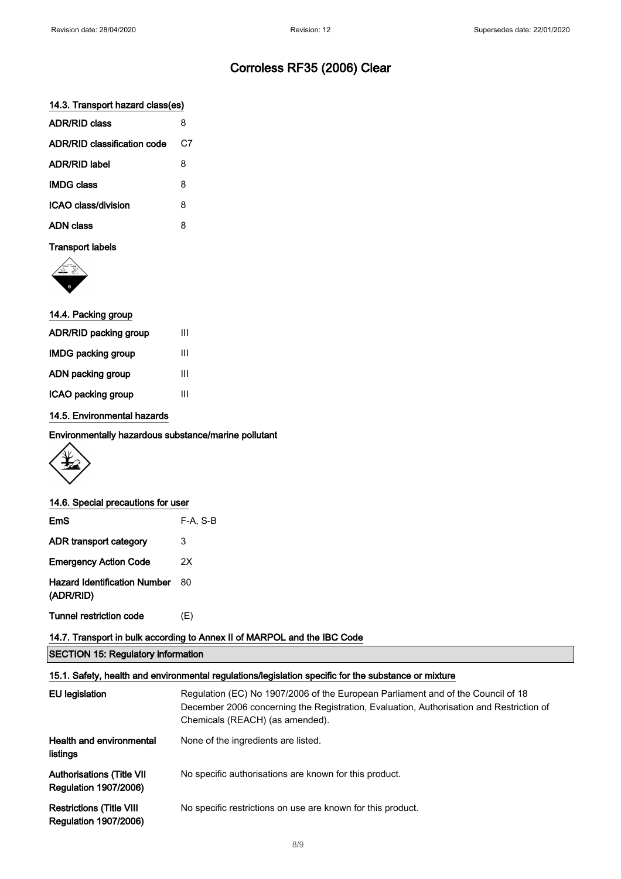#### 14.3. Transport hazard class(es)

| <b>ADR/RID class</b>        | 8  |
|-----------------------------|----|
| ADR/RID classification code | C7 |
| <b>ADR/RID label</b>        | 8  |
| <b>IMDG class</b>           | 8  |
| ICAO class/division         | 8  |
| ADN class                   | 8  |
|                             |    |

### Transport labels



| 14.4. Packing group   |   |
|-----------------------|---|
| ADR/RID packing group | Ш |
| IMDG packing group    | Ш |
| ADN packing group     | Ш |
| ICAO packing group    | Ш |
|                       |   |

#### 14.5. Environmental hazards

Environmentally hazardous substance/marine pollutant



#### 14.6. Special precautions for user

| EmS                                              | $F-A, S-B$ |
|--------------------------------------------------|------------|
| ADR transport category                           | 3          |
| <b>Emergency Action Code</b>                     | 2X         |
| <b>Hazard Identification Number</b><br>(ADR/RID) | 80         |
| <b>Tunnel restriction code</b>                   | (E)        |

### 14.7. Transport in bulk according to Annex II of MARPOL and the IBC Code

SECTION 15: Regulatory information

#### 15.1. Safety, health and environmental regulations/legislation specific for the substance or mixture

| EU legislation                                                    | Regulation (EC) No 1907/2006 of the European Parliament and of the Council of 18<br>December 2006 concerning the Registration, Evaluation, Authorisation and Restriction of<br>Chemicals (REACH) (as amended). |
|-------------------------------------------------------------------|----------------------------------------------------------------------------------------------------------------------------------------------------------------------------------------------------------------|
| <b>Health and environmental</b><br>listings                       | None of the ingredients are listed.                                                                                                                                                                            |
| <b>Authorisations (Title VII)</b><br><b>Regulation 1907/2006)</b> | No specific authorisations are known for this product.                                                                                                                                                         |
| <b>Restrictions (Title VIII</b><br><b>Regulation 1907/2006)</b>   | No specific restrictions on use are known for this product.                                                                                                                                                    |